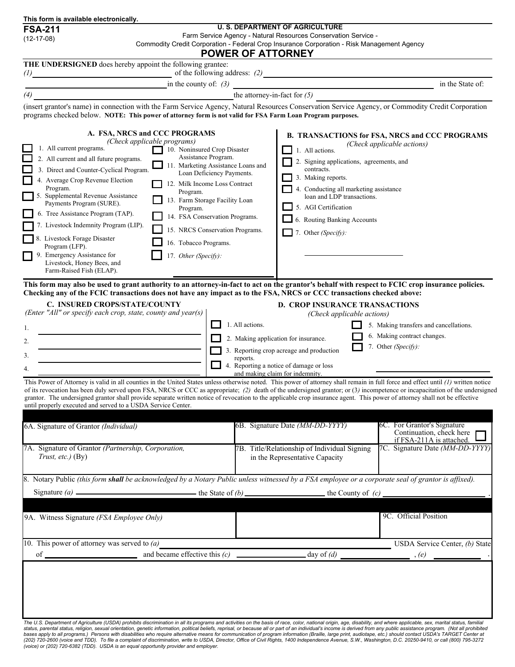| This form is available electronically.                                                                                                                                                                                                                                                                                                                                                                                                                                                                                                                                                                                                                                                                                                                                                                                                                                                                                                                                                                                                                                                                                                                                                 |                                                                                                                                                                                                                                                                                                                                                                                                                                                                                                                                                                                                                                                                                                                                                                                                                                                                                                                                                                                                                                                                                                                                                                                                                                                                                                                                                                                                                              |  |  |  |  |  |
|----------------------------------------------------------------------------------------------------------------------------------------------------------------------------------------------------------------------------------------------------------------------------------------------------------------------------------------------------------------------------------------------------------------------------------------------------------------------------------------------------------------------------------------------------------------------------------------------------------------------------------------------------------------------------------------------------------------------------------------------------------------------------------------------------------------------------------------------------------------------------------------------------------------------------------------------------------------------------------------------------------------------------------------------------------------------------------------------------------------------------------------------------------------------------------------|------------------------------------------------------------------------------------------------------------------------------------------------------------------------------------------------------------------------------------------------------------------------------------------------------------------------------------------------------------------------------------------------------------------------------------------------------------------------------------------------------------------------------------------------------------------------------------------------------------------------------------------------------------------------------------------------------------------------------------------------------------------------------------------------------------------------------------------------------------------------------------------------------------------------------------------------------------------------------------------------------------------------------------------------------------------------------------------------------------------------------------------------------------------------------------------------------------------------------------------------------------------------------------------------------------------------------------------------------------------------------------------------------------------------------|--|--|--|--|--|
| <b>FSA-211</b>                                                                                                                                                                                                                                                                                                                                                                                                                                                                                                                                                                                                                                                                                                                                                                                                                                                                                                                                                                                                                                                                                                                                                                         | <b>U. S. DEPARTMENT OF AGRICULTURE</b><br>Farm Service Agency - Natural Resources Conservation Service -                                                                                                                                                                                                                                                                                                                                                                                                                                                                                                                                                                                                                                                                                                                                                                                                                                                                                                                                                                                                                                                                                                                                                                                                                                                                                                                     |  |  |  |  |  |
| $(12-17-08)$                                                                                                                                                                                                                                                                                                                                                                                                                                                                                                                                                                                                                                                                                                                                                                                                                                                                                                                                                                                                                                                                                                                                                                           | Commodity Credit Corporation - Federal Crop Insurance Corporation - Risk Management Agency                                                                                                                                                                                                                                                                                                                                                                                                                                                                                                                                                                                                                                                                                                                                                                                                                                                                                                                                                                                                                                                                                                                                                                                                                                                                                                                                   |  |  |  |  |  |
|                                                                                                                                                                                                                                                                                                                                                                                                                                                                                                                                                                                                                                                                                                                                                                                                                                                                                                                                                                                                                                                                                                                                                                                        | <b>POWER OF ATTORNEY</b>                                                                                                                                                                                                                                                                                                                                                                                                                                                                                                                                                                                                                                                                                                                                                                                                                                                                                                                                                                                                                                                                                                                                                                                                                                                                                                                                                                                                     |  |  |  |  |  |
| THE UNDERSIGNED does hereby appoint the following grantee:                                                                                                                                                                                                                                                                                                                                                                                                                                                                                                                                                                                                                                                                                                                                                                                                                                                                                                                                                                                                                                                                                                                             |                                                                                                                                                                                                                                                                                                                                                                                                                                                                                                                                                                                                                                                                                                                                                                                                                                                                                                                                                                                                                                                                                                                                                                                                                                                                                                                                                                                                                              |  |  |  |  |  |
| $(1)$ of the following address: $(2)$                                                                                                                                                                                                                                                                                                                                                                                                                                                                                                                                                                                                                                                                                                                                                                                                                                                                                                                                                                                                                                                                                                                                                  | in the State of:                                                                                                                                                                                                                                                                                                                                                                                                                                                                                                                                                                                                                                                                                                                                                                                                                                                                                                                                                                                                                                                                                                                                                                                                                                                                                                                                                                                                             |  |  |  |  |  |
|                                                                                                                                                                                                                                                                                                                                                                                                                                                                                                                                                                                                                                                                                                                                                                                                                                                                                                                                                                                                                                                                                                                                                                                        | in the county of: $(3)$<br>the attorney-in-fact for $(5)$                                                                                                                                                                                                                                                                                                                                                                                                                                                                                                                                                                                                                                                                                                                                                                                                                                                                                                                                                                                                                                                                                                                                                                                                                                                                                                                                                                    |  |  |  |  |  |
| $\left(4\right)$ $\overline{\qquad \qquad }$                                                                                                                                                                                                                                                                                                                                                                                                                                                                                                                                                                                                                                                                                                                                                                                                                                                                                                                                                                                                                                                                                                                                           | (insert grantor's name) in connection with the Farm Service Agency, Natural Resources Conservation Service Agency, or Commodity Credit Corporation                                                                                                                                                                                                                                                                                                                                                                                                                                                                                                                                                                                                                                                                                                                                                                                                                                                                                                                                                                                                                                                                                                                                                                                                                                                                           |  |  |  |  |  |
| programs checked below. NOTE: This power of attorney form is not valid for FSA Farm Loan Program purposes.                                                                                                                                                                                                                                                                                                                                                                                                                                                                                                                                                                                                                                                                                                                                                                                                                                                                                                                                                                                                                                                                             |                                                                                                                                                                                                                                                                                                                                                                                                                                                                                                                                                                                                                                                                                                                                                                                                                                                                                                                                                                                                                                                                                                                                                                                                                                                                                                                                                                                                                              |  |  |  |  |  |
| A. FSA, NRCS and CCC PROGRAMS<br>(Check applicable programs)<br>1. All current programs.<br>10. Noninsured Crop Disaster<br>Assistance Program.<br>2. All current and all future programs.<br>11. Marketing Assistance Loans and<br>3. Direct and Counter-Cyclical Program.<br>Loan Deficiency Payments.<br>4. Average Crop Revenue Election<br>12. Milk Income Loss Contract<br>Program.<br>Program.<br>5. Supplemental Revenue Assistance<br>13. Farm Storage Facility Loan<br>Payments Program (SURE).<br>Program.<br>6. Tree Assistance Program (TAP).<br>14. FSA Conservation Programs.<br>7. Livestock Indemnity Program (LIP).<br>15. NRCS Conservation Programs.<br>8. Livestock Forage Disaster<br>16. Tobacco Programs.<br>Program (LFP).<br>9. Emergency Assistance for<br>17. Other (Specify):<br>Livestock, Honey Bees, and<br>Farm-Raised Fish (ELAP).<br>Checking any of the FCIC transactions does not have any impact as to the FSA, NRCS or CCC transactions checked above:<br>C. INSURED CROPS/STATE/COUNTY<br>(Enter "All" or specify each crop, state, county and year(s)<br>1.<br>2.<br>3.<br>4.<br>until properly executed and served to a USDA Service Center. | <b>B. TRANSACTIONS for FSA, NRCS and CCC PROGRAMS</b><br>(Check applicable actions)<br>1. All actions.<br>2. Signing applications, agreements, and<br>contracts.<br>3. Making reports.<br>4. Conducting all marketing assistance<br>loan and LDP transactions.<br>5. AGI Certification<br>6. Routing Banking Accounts<br>7. Other (Specify):<br>This form may also be used to grant authority to an attorney-in-fact to act on the grantor's behalf with respect to FCIC crop insurance policies.<br><b>D. CROP INSURANCE TRANSACTIONS</b><br>(Check applicable actions)<br>1. All actions.<br>5. Making transfers and cancellations.<br>6. Making contract changes.<br>2. Making application for insurance.<br>7. Other (Specify):<br>3. Reporting crop acreage and production<br>reports.<br>4. Reporting a notice of damage or loss<br>and making claim for indemnity.<br>This Power of Attorney is valid in all counties in the United States unless otherwise noted. This power of attorney shall remain in full force and effect until (1) written notice<br>of its revocation has been duly served upon FSA, NRCS or CCC as appropriate; (2) death of the undersigned grantor; or (3) incompetence or incapacitation of the undersigned<br>grantor. The undersigned grantor shall provide separate written notice of revocation to the applicable crop insurance agent. This power of attorney shall not be effective |  |  |  |  |  |
|                                                                                                                                                                                                                                                                                                                                                                                                                                                                                                                                                                                                                                                                                                                                                                                                                                                                                                                                                                                                                                                                                                                                                                                        |                                                                                                                                                                                                                                                                                                                                                                                                                                                                                                                                                                                                                                                                                                                                                                                                                                                                                                                                                                                                                                                                                                                                                                                                                                                                                                                                                                                                                              |  |  |  |  |  |
| 6A. Signature of Grantor (Individual)                                                                                                                                                                                                                                                                                                                                                                                                                                                                                                                                                                                                                                                                                                                                                                                                                                                                                                                                                                                                                                                                                                                                                  | 6B. Signature Date (MM-DD-YYYY)<br>6C. For Grantor's Signature<br>Continuation, check here<br>if FSA-211A is attached.                                                                                                                                                                                                                                                                                                                                                                                                                                                                                                                                                                                                                                                                                                                                                                                                                                                                                                                                                                                                                                                                                                                                                                                                                                                                                                       |  |  |  |  |  |
| 7A. Signature of Grantor (Partnership, Corporation,<br>Trust, etc.) $(By)$                                                                                                                                                                                                                                                                                                                                                                                                                                                                                                                                                                                                                                                                                                                                                                                                                                                                                                                                                                                                                                                                                                             | 7C. Signature Date (MM-DD-YYYY)<br>7B. Title/Relationship of Individual Signing<br>in the Representative Capacity                                                                                                                                                                                                                                                                                                                                                                                                                                                                                                                                                                                                                                                                                                                                                                                                                                                                                                                                                                                                                                                                                                                                                                                                                                                                                                            |  |  |  |  |  |
|                                                                                                                                                                                                                                                                                                                                                                                                                                                                                                                                                                                                                                                                                                                                                                                                                                                                                                                                                                                                                                                                                                                                                                                        | 8. Notary Public (this form shall be acknowledged by a Notary Public unless witnessed by a FSA employee or a corporate seal of grantor is affixed).                                                                                                                                                                                                                                                                                                                                                                                                                                                                                                                                                                                                                                                                                                                                                                                                                                                                                                                                                                                                                                                                                                                                                                                                                                                                          |  |  |  |  |  |
| Signature (a) — the State of (b) — the State of (b) — the County of (c) —                                                                                                                                                                                                                                                                                                                                                                                                                                                                                                                                                                                                                                                                                                                                                                                                                                                                                                                                                                                                                                                                                                              |                                                                                                                                                                                                                                                                                                                                                                                                                                                                                                                                                                                                                                                                                                                                                                                                                                                                                                                                                                                                                                                                                                                                                                                                                                                                                                                                                                                                                              |  |  |  |  |  |
|                                                                                                                                                                                                                                                                                                                                                                                                                                                                                                                                                                                                                                                                                                                                                                                                                                                                                                                                                                                                                                                                                                                                                                                        |                                                                                                                                                                                                                                                                                                                                                                                                                                                                                                                                                                                                                                                                                                                                                                                                                                                                                                                                                                                                                                                                                                                                                                                                                                                                                                                                                                                                                              |  |  |  |  |  |
| 9A. Witness Signature (FSA Employee Only)                                                                                                                                                                                                                                                                                                                                                                                                                                                                                                                                                                                                                                                                                                                                                                                                                                                                                                                                                                                                                                                                                                                                              | 9C. Official Position                                                                                                                                                                                                                                                                                                                                                                                                                                                                                                                                                                                                                                                                                                                                                                                                                                                                                                                                                                                                                                                                                                                                                                                                                                                                                                                                                                                                        |  |  |  |  |  |
| 10. This power of attorney was served to $(a)$                                                                                                                                                                                                                                                                                                                                                                                                                                                                                                                                                                                                                                                                                                                                                                                                                                                                                                                                                                                                                                                                                                                                         | USDA Service Center, (b) State                                                                                                                                                                                                                                                                                                                                                                                                                                                                                                                                                                                                                                                                                                                                                                                                                                                                                                                                                                                                                                                                                                                                                                                                                                                                                                                                                                                               |  |  |  |  |  |
|                                                                                                                                                                                                                                                                                                                                                                                                                                                                                                                                                                                                                                                                                                                                                                                                                                                                                                                                                                                                                                                                                                                                                                                        |                                                                                                                                                                                                                                                                                                                                                                                                                                                                                                                                                                                                                                                                                                                                                                                                                                                                                                                                                                                                                                                                                                                                                                                                                                                                                                                                                                                                                              |  |  |  |  |  |
|                                                                                                                                                                                                                                                                                                                                                                                                                                                                                                                                                                                                                                                                                                                                                                                                                                                                                                                                                                                                                                                                                                                                                                                        |                                                                                                                                                                                                                                                                                                                                                                                                                                                                                                                                                                                                                                                                                                                                                                                                                                                                                                                                                                                                                                                                                                                                                                                                                                                                                                                                                                                                                              |  |  |  |  |  |

The U.S. Department of Agriculture (USDA) prohibits discrimination in all its programs and activities on the basis of race, color, national origin, age, disability, and where applicable, sex, marital status, familial<br>bases